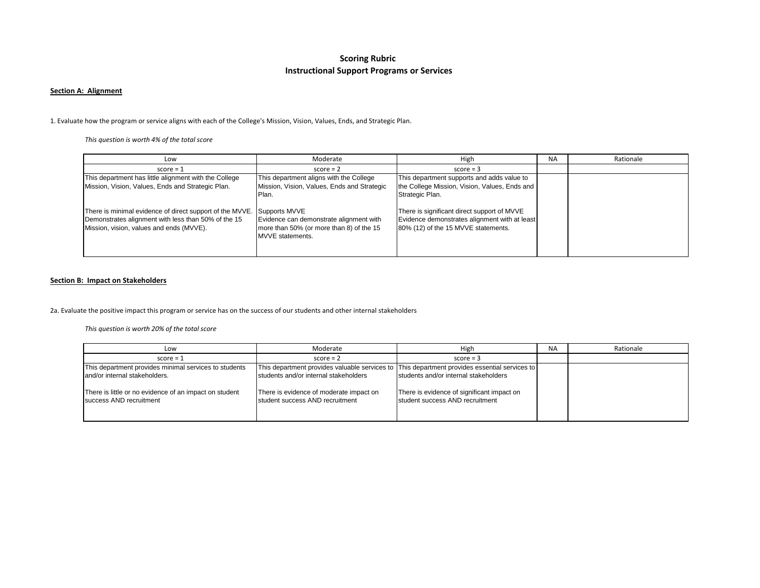# **Scoring Rubric Instructional Support Programs or Services**

#### **Section A: Alignment**

1. Evaluate how the program or service aligns with each of the College's Mission, Vision, Values, Ends, and Strategic Plan.

*This question is worth 4% of the total score*

| Low                                                                                                                                                                       | Moderate                                                                                                | High                                                                                                                                | <b>NA</b> | Rationale |
|---------------------------------------------------------------------------------------------------------------------------------------------------------------------------|---------------------------------------------------------------------------------------------------------|-------------------------------------------------------------------------------------------------------------------------------------|-----------|-----------|
| $score = 1$                                                                                                                                                               | $score = 2$                                                                                             | $score = 3$                                                                                                                         |           |           |
| This department has little alignment with the College<br>Mission, Vision, Values, Ends and Strategic Plan.                                                                | This department aligns with the College<br>Mission, Vision, Values, Ends and Strategic<br>Plan.         | This department supports and adds value to<br>the College Mission, Vision, Values, Ends and<br>Strategic Plan.                      |           |           |
| There is minimal evidence of direct support of the MVVE. Supports MVVE<br>Demonstrates alignment with less than 50% of the 15<br>Mission, vision, values and ends (MVVE). | Evidence can demonstrate alignment with<br>more than 50% (or more than 8) of the 15<br>MVVE statements. | There is significant direct support of MVVE<br>Evidence demonstrates alignment with at least<br>80% (12) of the 15 MVVE statements. |           |           |

#### **Section B: Impact on Stakeholders**

2a. Evaluate the positive impact this program or service has on the success of our students and other internal stakeholders

*This question is worth 20% of the total score*

| Low                                                                               | Moderate                                                                   | High                                                                                         | <b>NA</b> | Rationale |
|-----------------------------------------------------------------------------------|----------------------------------------------------------------------------|----------------------------------------------------------------------------------------------|-----------|-----------|
| $score = 1$                                                                       | $score = 2$                                                                | $score = 3$                                                                                  |           |           |
| This department provides minimal services to students                             |                                                                            | This department provides valuable services to This department provides essential services to |           |           |
| and/or internal stakeholders.                                                     | students and/or internal stakeholders                                      | students and/or internal stakeholders                                                        |           |           |
| There is little or no evidence of an impact on student<br>success AND recruitment | There is evidence of moderate impact on<br>student success AND recruitment | There is evidence of significant impact on<br>student success AND recruitment                |           |           |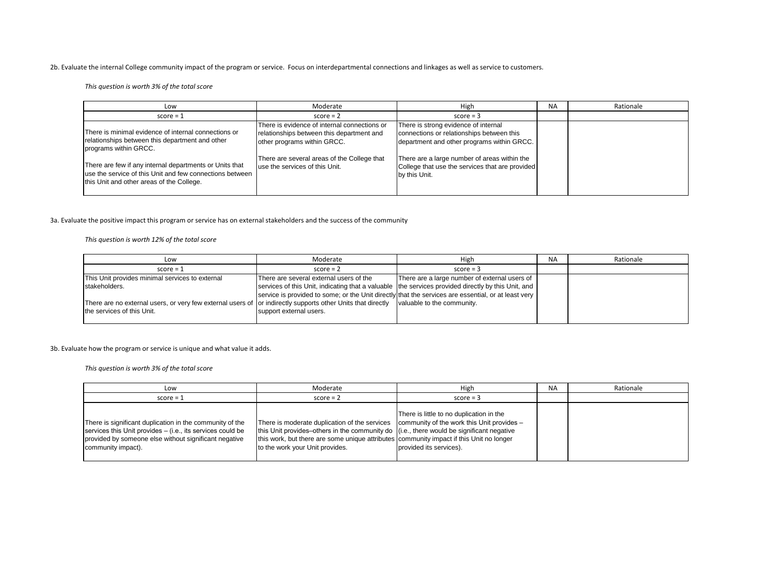2b. Evaluate the internal College community impact of the program or service. Focus on interdepartmental connections and linkages as well as service to customers.

*This question is worth 3% of the total score*

| Low                                                                                                                                                              | Moderate                                                                                                                 | High                                                                                                                            | <b>NA</b> | Rationale |
|------------------------------------------------------------------------------------------------------------------------------------------------------------------|--------------------------------------------------------------------------------------------------------------------------|---------------------------------------------------------------------------------------------------------------------------------|-----------|-----------|
| $score = 1$                                                                                                                                                      | $score = 2$                                                                                                              | $score = 3$                                                                                                                     |           |           |
| There is minimal evidence of internal connections or<br>relationships between this department and other<br>programs within GRCC.                                 | There is evidence of internal connections or<br>relationships between this department and<br>other programs within GRCC. | There is strong evidence of internal<br>connections or relationships between this<br>department and other programs within GRCC. |           |           |
| There are few if any internal departments or Units that<br>use the service of this Unit and few connections between<br>this Unit and other areas of the College. | There are several areas of the College that<br>luse the services of this Unit.                                           | There are a large number of areas within the<br>College that use the services that are provided<br>by this Unit.                |           |           |

3a. Evaluate the positive impact this program or service has on external stakeholders and the success of the community

*This question is worth 12% of the total score*

| Low                                                                                                         | Moderate                                | High                                                                                                | <b>NA</b> | Rationale |
|-------------------------------------------------------------------------------------------------------------|-----------------------------------------|-----------------------------------------------------------------------------------------------------|-----------|-----------|
| $score = 1$                                                                                                 | $score = 2$                             | $score = 3$                                                                                         |           |           |
| This Unit provides minimal services to external                                                             | There are several external users of the | There are a large number of external users of                                                       |           |           |
| stakeholders.                                                                                               |                                         | services of this Unit, indicating that a valuable the services provided directly by this Unit, and  |           |           |
|                                                                                                             |                                         | service is provided to some; or the Unit directly that the services are essential, or at least very |           |           |
| There are no external users, or very few external users of or indirectly supports other Units that directly |                                         | valuable to the community.                                                                          |           |           |
| the services of this Unit.                                                                                  | support external users.                 |                                                                                                     |           |           |
|                                                                                                             |                                         |                                                                                                     |           |           |

3b. Evaluate how the program or service is unique and what value it adds.

*This question is worth 3% of the total score*

| Low                                                                                                                                                                                                   | Moderate                                                                                                                                                                                                                                                                                                           | High                                                                | <b>NA</b> | Rationale |
|-------------------------------------------------------------------------------------------------------------------------------------------------------------------------------------------------------|--------------------------------------------------------------------------------------------------------------------------------------------------------------------------------------------------------------------------------------------------------------------------------------------------------------------|---------------------------------------------------------------------|-----------|-----------|
| $score = 1$                                                                                                                                                                                           | $score = 2$                                                                                                                                                                                                                                                                                                        | $score = 3$                                                         |           |           |
| There is significant duplication in the community of the<br>services this Unit provides – (i.e., its services could be<br>provided by someone else without significant negative<br>community impact). | There is moderate duplication of the services community of the work this Unit provides –<br>this Unit provides–others in the community do (i.e., there would be significant negative<br>this work, but there are some unique attributes community impact if this Unit no longer<br>to the work your Unit provides. | There is little to no duplication in the<br>provided its services). |           |           |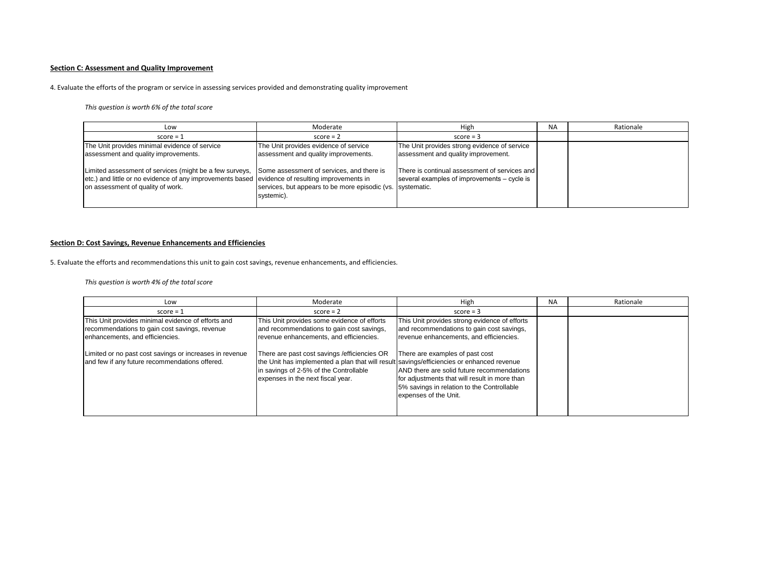## **Section C: Assessment and Quality Improvement**

## 4. Evaluate the efforts of the program or service in assessing services provided and demonstrating quality improvement

#### *This question is worth 6% of the total score*

| Low                                                                                                                                                                                                                                       | Moderate                                                                      | High                                                                                         | <b>NA</b> | Rationale |
|-------------------------------------------------------------------------------------------------------------------------------------------------------------------------------------------------------------------------------------------|-------------------------------------------------------------------------------|----------------------------------------------------------------------------------------------|-----------|-----------|
| $score = 1$                                                                                                                                                                                                                               | $score = 2$                                                                   | $score = 3$                                                                                  |           |           |
| The Unit provides minimal evidence of service<br>assessment and quality improvements.                                                                                                                                                     | The Unit provides evidence of service<br>assessment and quality improvements. | The Unit provides strong evidence of service<br>assessment and quality improvement.          |           |           |
| Limited assessment of services (might be a few surveys, Some assessment of services, and there is<br>etc.) and little or no evidence of any improvements based evidence of resulting improvements in<br>on assessment of quality of work. | services, but appears to be more episodic (vs. systematic.<br>systemic).      | There is continual assessment of services and<br>several examples of improvements – cycle is |           |           |

## **Section D: Cost Savings, Revenue Enhancements and Efficiencies**

5. Evaluate the efforts and recommendations this unit to gain cost savings, revenue enhancements, and efficiencies.

*This question is worth 4% of the total score*

| Low                                                                                                                                    | Moderate                                                                                                                                                                                                                  | High                                                                                                                                                                                                  | <b>NA</b> | Rationale |
|----------------------------------------------------------------------------------------------------------------------------------------|---------------------------------------------------------------------------------------------------------------------------------------------------------------------------------------------------------------------------|-------------------------------------------------------------------------------------------------------------------------------------------------------------------------------------------------------|-----------|-----------|
| $score = 1$                                                                                                                            | $score = 2$                                                                                                                                                                                                               | $score = 3$                                                                                                                                                                                           |           |           |
| This Unit provides minimal evidence of efforts and<br>recommendations to gain cost savings, revenue<br>enhancements, and efficiencies. | This Unit provides some evidence of efforts<br>and recommendations to gain cost savings,<br>revenue enhancements, and efficiencies.                                                                                       | This Unit provides strong evidence of efforts<br>and recommendations to gain cost savings,<br>revenue enhancements, and efficiencies.                                                                 |           |           |
| Limited or no past cost savings or increases in revenue<br>and few if any future recommendations offered.                              | There are past cost savings / efficiencies OR<br>the Unit has implemented a plan that will result savings/efficiencies or enhanced revenue<br>in savings of 2-5% of the Controllable<br>expenses in the next fiscal year. | There are examples of past cost<br>AND there are solid future recommendations<br>for adjustments that will result in more than<br>5% savings in relation to the Controllable<br>expenses of the Unit. |           |           |